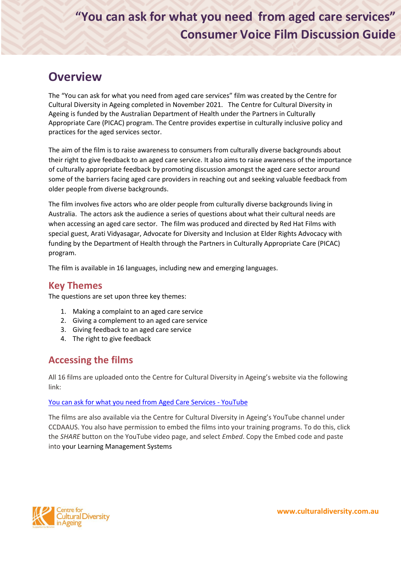# **"You can ask for what you need from aged care services" Consumer Voice Film Discussion Guide**

## **Overview**

The "You can ask for what you need from aged care services" film was created by the Centre for Cultural Diversity in Ageing completed in November 2021. The Centre for Cultural Diversity in Ageing is funded by the Australian Department of Health under the Partners in Culturally Appropriate Care (PICAC) program. The Centre provides expertise in culturally inclusive policy and practices for the aged services sector.

The aim of the film is to raise awareness to consumers from culturally diverse backgrounds about their right to give feedback to an aged care service. It also aims to raise awareness of the importance of culturally appropriate feedback by promoting discussion amongst the aged care sector around some of the barriers facing aged care providers in reaching out and seeking valuable feedback from older people from diverse backgrounds.

The film involves five actors who are older people from culturally diverse backgrounds living in Australia. The actors ask the audience a series of questions about what their cultural needs are when accessing an aged care sector. The film was produced and directed by Red Hat Films with special guest, Arati Vidyasagar, Advocate for Diversity and Inclusion at Elder Rights Advocacy with funding by the Department of Health through the Partners in Culturally Appropriate Care (PICAC) program.

The film is available in 16 languages, including new and emerging languages.

### **Key Themes**

The questions are set upon three key themes:

- 1. Making a complaint to an aged care service
- 2. Giving a complement to an aged care service
- 3. Giving feedback to an aged care service
- 4. The right to give feedback

### **Accessing the films**

All 16 films are uploaded onto the Centre for Cultural Diversity in Ageing's website via the following link:

### [You can ask for what you need from Aged Care Services -](https://www.youtube.com/playlist?list=PLh7zaZPf9dk714nSFCvUvukoF4pn0PYor) YouTube

The films are also available via the Centre for Cultural Diversity in Ageing's YouTube channel under CCDAAUS. You also have permission to embed the films into your training programs. To do this, click the *SHARE* button on the YouTube video page, and select *Embed*. Copy the Embed code and paste into your Learning Management Systems